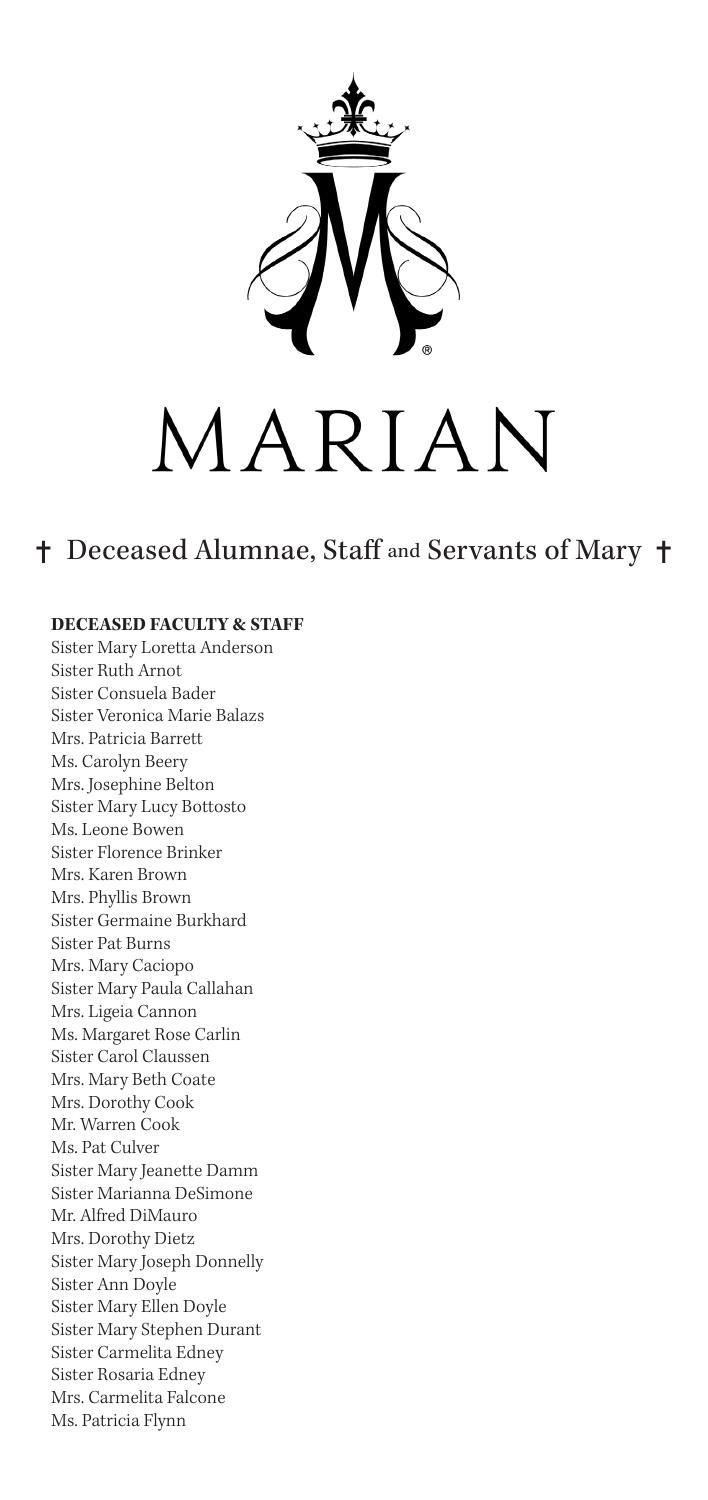

## MARIAN

## ✝ Deceased Alumnae, Staff and Servants of Mary ✝

## **DECEASED FACULTY & STAFF**

Sister Mary Loretta Anderson Sister Ruth Arnot Sister Consuela Bader Sister Veronica Marie Balazs Mrs. Patricia Barrett Ms. Carolyn Beery Mrs. Josephine Belton Sister Mary Lucy Bottosto Ms. Leone Bowen Sister Florence Brinker Mrs. Karen Brown Mrs. Phyllis Brown Sister Germaine Burkhard Sister Pat Burns Mrs. Mary Caciopo Sister Mary Paula Callahan Mrs. Ligeia Cannon Ms. Margaret Rose Carlin Sister Carol Claussen Mrs. Mary Beth Coate Mrs. Dorothy Cook Mr. Warren Cook Ms. Pat Culver Sister Mary Jeanette Damm Sister Marianna DeSimone Mr. Alfred DiMauro Mrs. Dorothy Dietz Sister Mary Joseph Donnelly Sister Ann Doyle Sister Mary Ellen Doyle Sister Mary Stephen Durant Sister Carmelita Edney Sister Rosaria Edney Mrs. Carmelita Falcone Ms. Patricia Flynn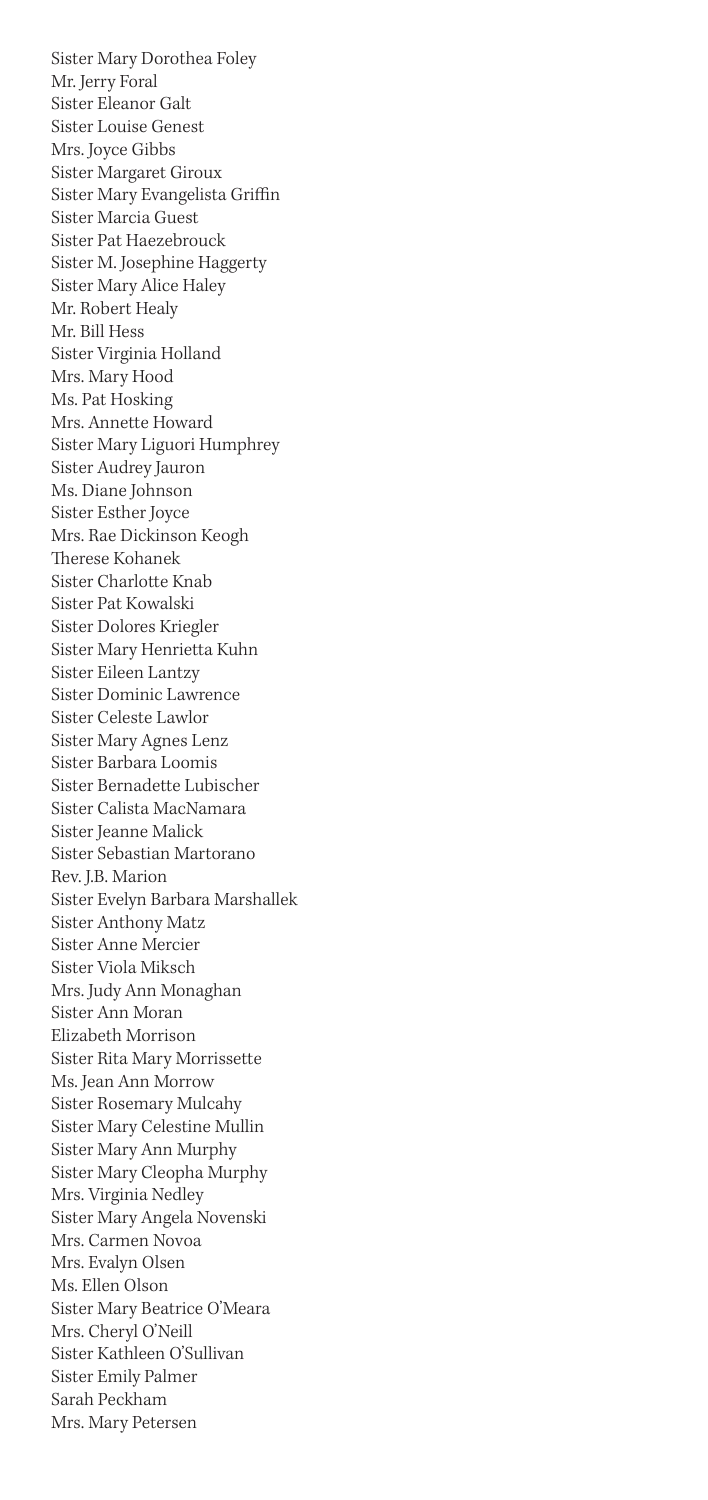Sister Mary Dorothea Foley Mr. Jerry Foral Sister Eleanor Galt Sister Louise Genest Mrs. Joyce Gibbs Sister Margaret Giroux Sister Mary Evangelista Griffin Sister Marcia Guest Sister Pat Haezebrouck Sister M. Josephine Haggerty Sister Mary Alice Haley Mr. Robert Healy Mr. Bill Hess Sister Virginia Holland Mrs. Mary Hood Ms. Pat Hosking Mrs. Annette Howard Sister Mary Liguori Humphrey Sister Audrey Jauron Ms. Diane Johnson Sister Esther Joyce Mrs. Rae Dickinson Keogh Therese Kohanek Sister Charlotte Knab Sister Pat Kowalski Sister Dolores Kriegler Sister Mary Henrietta Kuhn Sister Eileen Lantzy Sister Dominic Lawrence Sister Celeste Lawlor Sister Mary Agnes Lenz Sister Barbara Loomis Sister Bernadette Lubischer Sister Calista MacNamara Sister Jeanne Malick Sister Sebastian Martorano Rev. J.B. Marion Sister Evelyn Barbara Marshallek Sister Anthony Matz Sister Anne Mercier Sister Viola Miksch Mrs. Judy Ann Monaghan Sister Ann Moran Elizabeth Morrison Sister Rita Mary Morrissette Ms. Jean Ann Morrow Sister Rosemary Mulcahy Sister Mary Celestine Mullin Sister Mary Ann Murphy Sister Mary Cleopha Murphy Mrs. Virginia Nedley Sister Mary Angela Novenski Mrs. Carmen Novoa Mrs. Evalyn Olsen Ms. Ellen Olson Sister Mary Beatrice O'Meara Mrs. Cheryl O'Neill Sister Kathleen O'Sullivan Sister Emily Palmer Sarah Peckham Mrs. Mary Petersen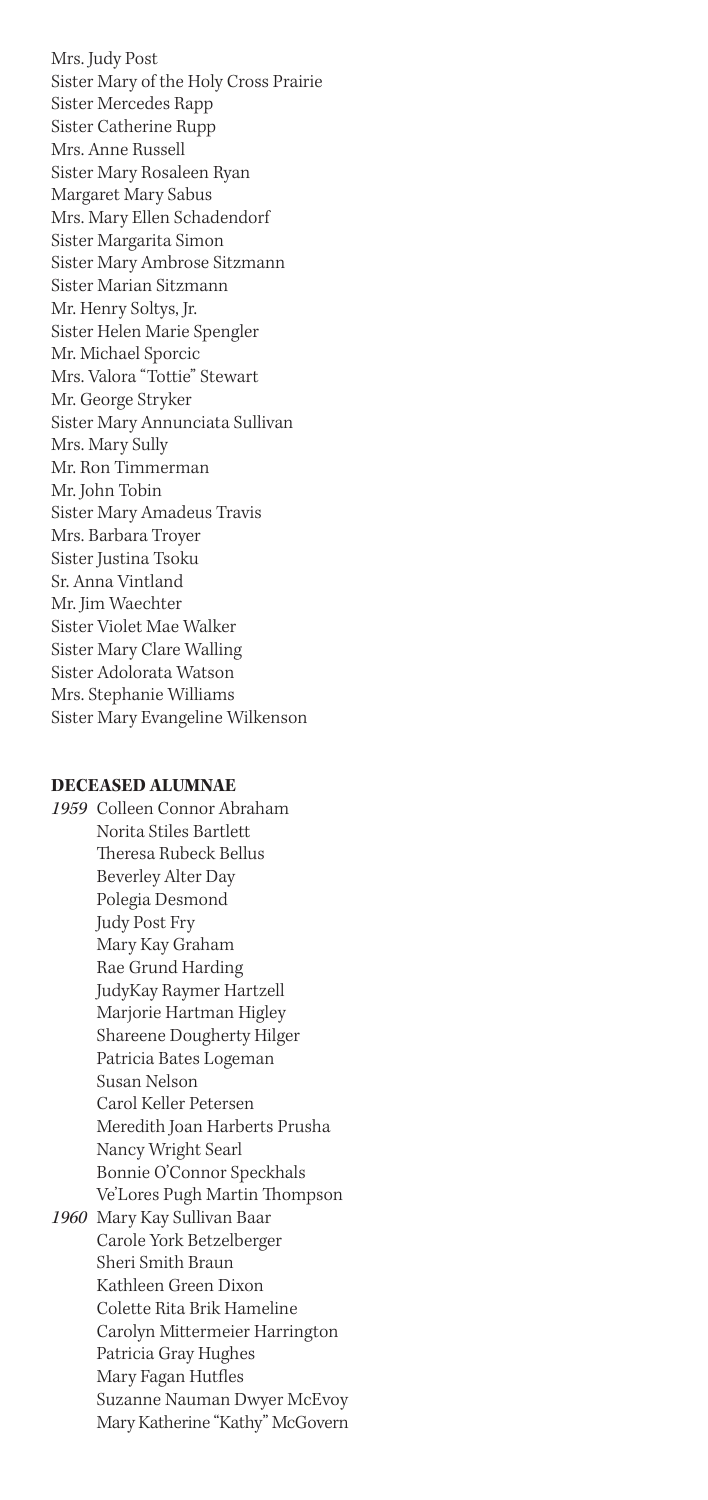Mrs. Judy Post Sister Mary of the Holy Cross Prairie Sister Mercedes Rapp Sister Catherine Rupp Mrs. Anne Russell Sister Mary Rosaleen Ryan Margaret Mary Sabus Mrs. Mary Ellen Schadendorf Sister Margarita Simon Sister Mary Ambrose Sitzmann Sister Marian Sitzmann Mr. Henry Soltys, Jr. Sister Helen Marie Spengler Mr. Michael Sporcic Mrs. Valora "Tottie" Stewart Mr. George Stryker Sister Mary Annunciata Sullivan Mrs. Mary Sully Mr. Ron Timmerman Mr. John Tobin Sister Mary Amadeus Travis Mrs. Barbara Troyer Sister Justina Tsoku Sr. Anna Vintland Mr. Jim Waechter Sister Violet Mae Walker Sister Mary Clare Walling Sister Adolorata Watson Mrs. Stephanie Williams Sister Mary Evangeline Wilkenson

## **DECEASED ALUMNAE**

*1959* Colleen Connor Abraham Norita Stiles Bartlett Theresa Rubeck Bellus Beverley Alter Day Polegia Desmond Judy Post Fry Mary Kay Graham Rae Grund Harding JudyKay Raymer Hartzell Marjorie Hartman Higley Shareene Dougherty Hilger Patricia Bates Logeman Susan Nelson Carol Keller Petersen Meredith Joan Harberts Prusha Nancy Wright Searl Bonnie O'Connor Speckhals Ve'Lores Pugh Martin Thompson *1960* Mary Kay Sullivan Baar Carole York Betzelberger Sheri Smith Braun Kathleen Green Dixon Colette Rita Brik Hameline Carolyn Mittermeier Harrington Patricia Gray Hughes Mary Fagan Hutfles Suzanne Nauman Dwyer McEvoy Mary Katherine "Kathy" McGovern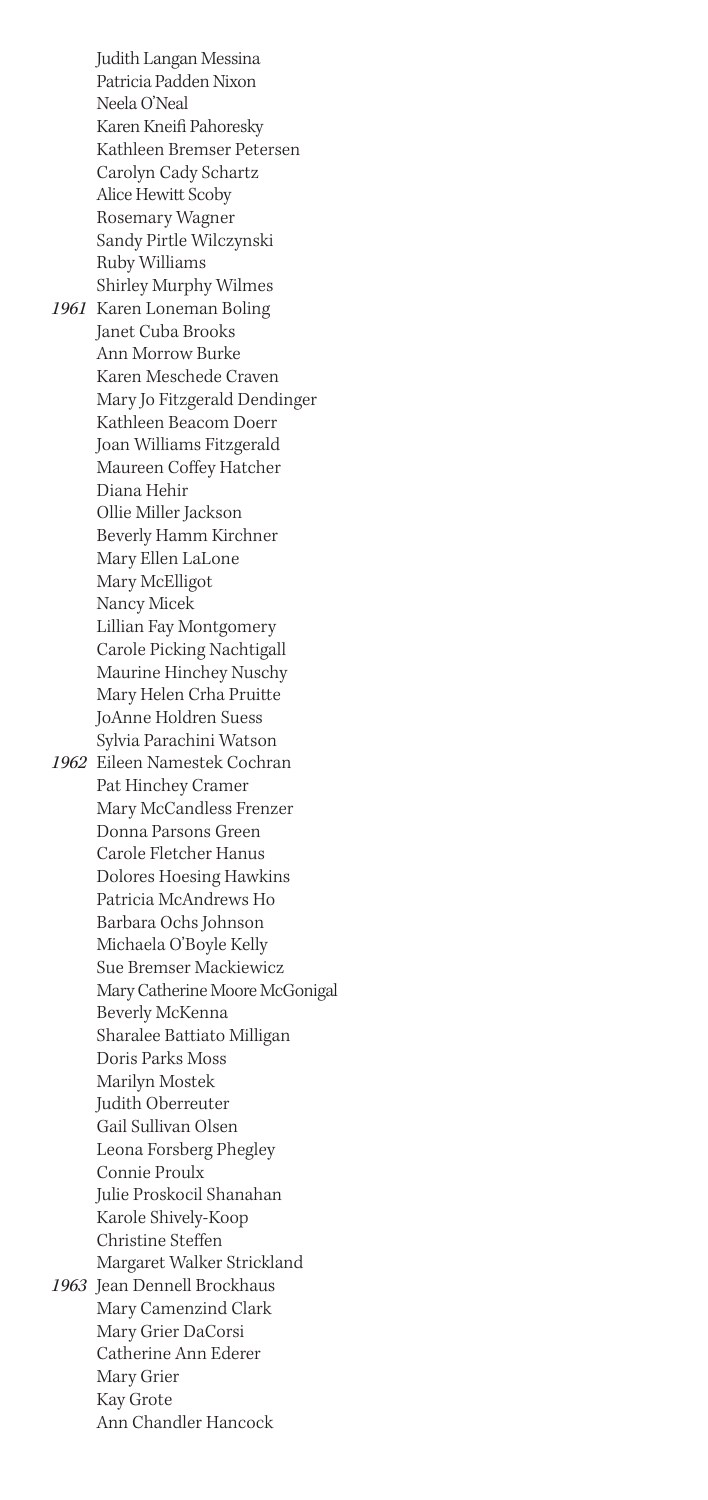Judith Langan Messina Patricia Padden Nixon Neela O'Neal Karen Kneifi Pahoresky Kathleen Bremser Petersen Carolyn Cady Schartz Alice Hewitt Scoby Rosemary Wagner Sandy Pirtle Wilczynski Ruby Williams Shirley Murphy Wilmes *1961* Karen Loneman Boling Janet Cuba Brooks Ann Morrow Burke Karen Meschede Craven Mary Jo Fitzgerald Dendinger Kathleen Beacom Doerr Joan Williams Fitzgerald Maureen Coffey Hatcher Diana Hehir Ollie Miller Jackson Beverly Hamm Kirchner Mary Ellen LaLone Mary McElligot Nancy Micek Lillian Fay Montgomery Carole Picking Nachtigall Maurine Hinchey Nuschy Mary Helen Crha Pruitte JoAnne Holdren Suess Sylvia Parachini Watson *1962* Eileen Namestek Cochran Pat Hinchey Cramer Mary McCandless Frenzer Donna Parsons Green Carole Fletcher Hanus Dolores Hoesing Hawkins Patricia McAndrews Ho Barbara Ochs Johnson Michaela O'Boyle Kelly Sue Bremser Mackiewicz Mary Catherine Moore McGonigal Beverly McKenna Sharalee Battiato Milligan Doris Parks Moss Marilyn Mostek Judith Oberreuter Gail Sullivan Olsen Leona Forsberg Phegley Connie Proulx Julie Proskocil Shanahan Karole Shively-Koop Christine Steffen Margaret Walker Strickland *1963* Jean Dennell Brockhaus Mary Camenzind Clark Mary Grier DaCorsi Catherine Ann Ederer Mary Grier Kay Grote Ann Chandler Hancock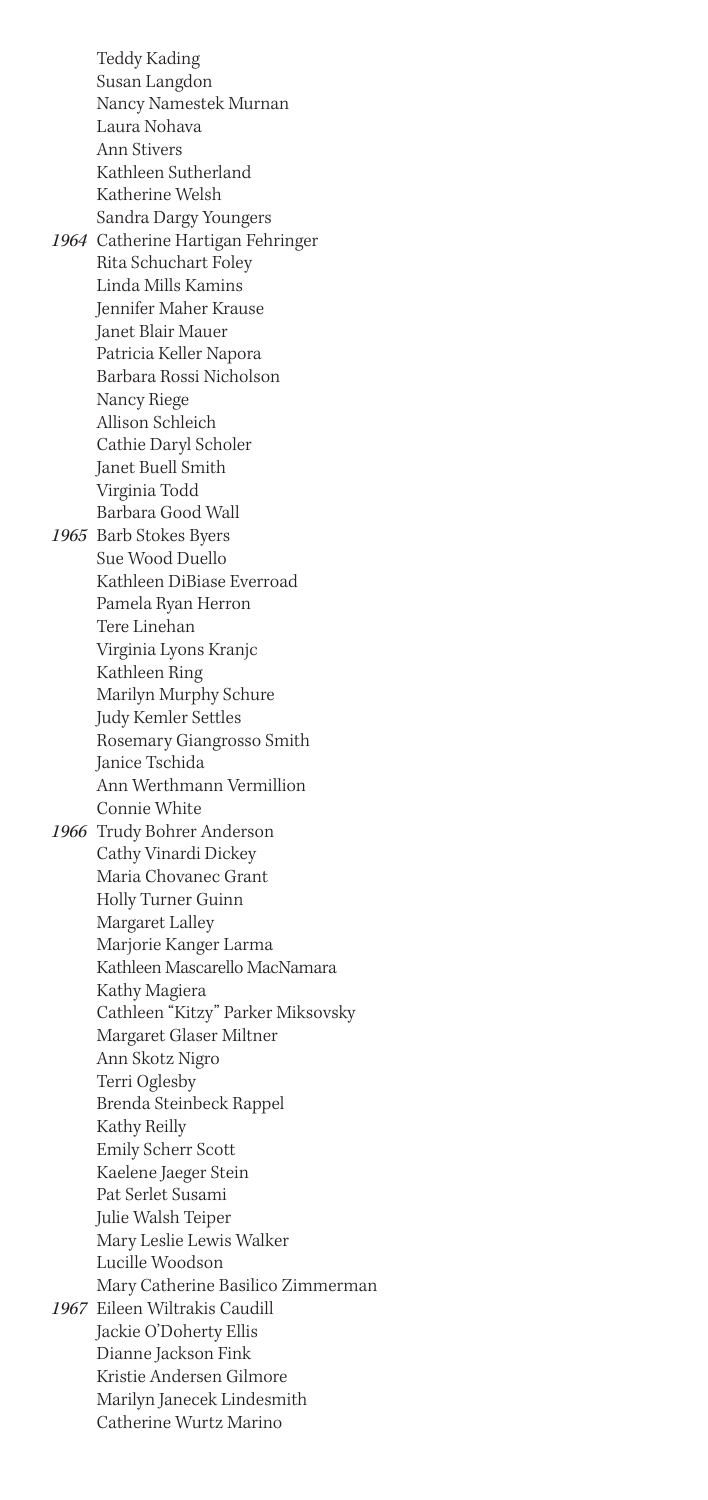Teddy Kading Susan Langdon Nancy Namestek Murnan Laura Nohava Ann Stivers Kathleen Sutherland Katherine Welsh Sandra Dargy Youngers *1964* Catherine Hartigan Fehringer Rita Schuchart Foley Linda Mills Kamins Jennifer Maher Krause Janet Blair Mauer Patricia Keller Napora Barbara Rossi Nicholson Nancy Riege Allison Schleich Cathie Daryl Scholer Janet Buell Smith Virginia Todd Barbara Good Wall *1965* Barb Stokes Byers Sue Wood Duello Kathleen DiBiase Everroad Pamela Ryan Herron Tere Linehan Virginia Lyons Kranjc Kathleen Ring Marilyn Murphy Schure Judy Kemler Settles Rosemary Giangrosso Smith Janice Tschida Ann Werthmann Vermillion Connie White *1966* Trudy Bohrer Anderson Cathy Vinardi Dickey Maria Chovanec Grant Holly Turner Guinn Margaret Lalley Marjorie Kanger Larma Kathleen Mascarello MacNamara Kathy Magiera Cathleen "Kitzy" Parker Miksovsky Margaret Glaser Miltner Ann Skotz Nigro Terri Oglesby Brenda Steinbeck Rappel Kathy Reilly Emily Scherr Scott Kaelene Jaeger Stein Pat Serlet Susami Julie Walsh Teiper Mary Leslie Lewis Walker Lucille Woodson Mary Catherine Basilico Zimmerman *1967* Eileen Wiltrakis Caudill Jackie O'Doherty Ellis Dianne Jackson Fink Kristie Andersen Gilmore Marilyn Janecek Lindesmith Catherine Wurtz Marino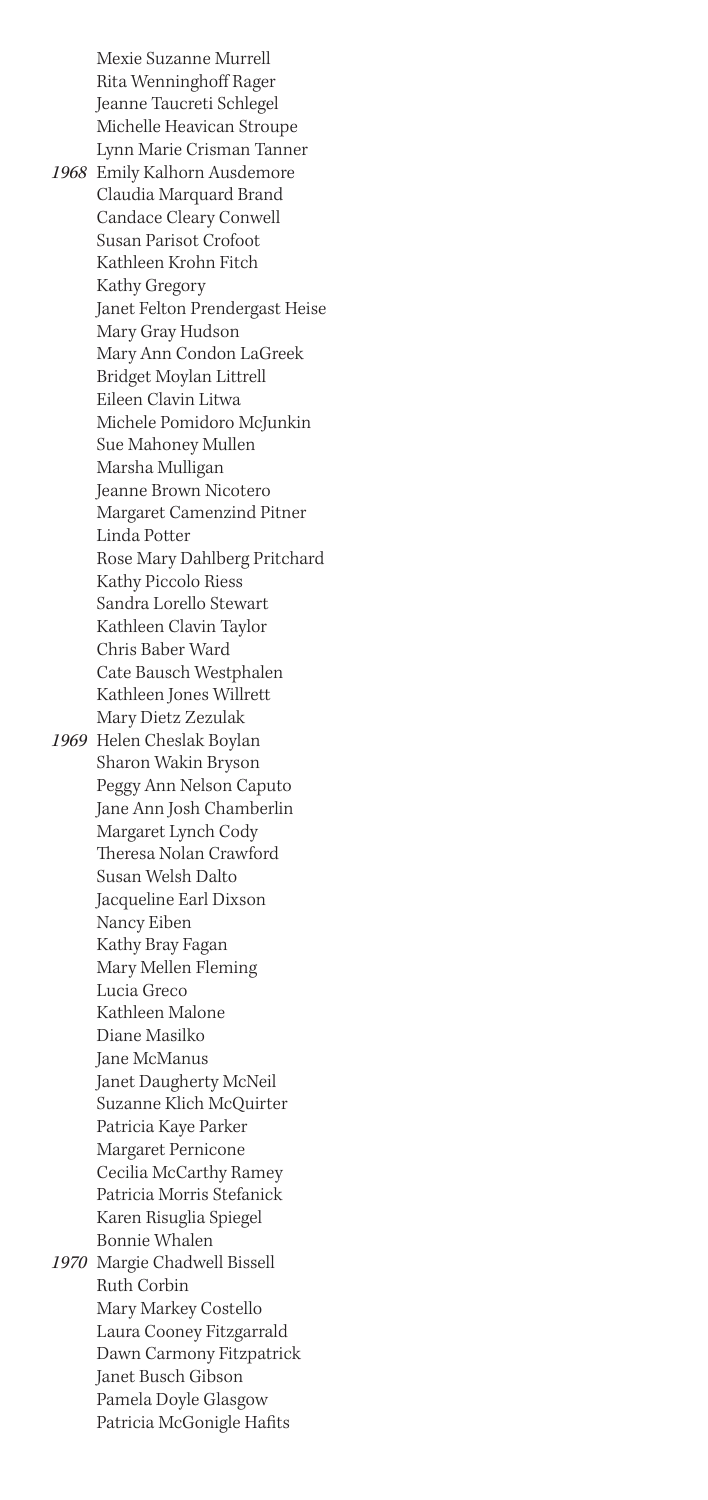Mexie Suzanne Murrell Rita Wenninghoff Rager Jeanne Taucreti Schlegel Michelle Heavican Stroupe Lynn Marie Crisman Tanner

*1968* Emily Kalhorn Ausdemore Claudia Marquard Brand Candace Cleary Conwell Susan Parisot Crofoot Kathleen Krohn Fitch Kathy Gregory Janet Felton Prendergast Heise Mary Gray Hudson Mary Ann Condon LaGreek Bridget Moylan Littrell Eileen Clavin Litwa Michele Pomidoro McJunkin Sue Mahoney Mullen Marsha Mulligan Jeanne Brown Nicotero Margaret Camenzind Pitner Linda Potter Rose Mary Dahlberg Pritchard Kathy Piccolo Riess Sandra Lorello Stewart Kathleen Clavin Taylor Chris Baber Ward Cate Bausch Westphalen Kathleen Jones Willrett Mary Dietz Zezulak *1969* Helen Cheslak Boylan Sharon Wakin Bryson Peggy Ann Nelson Caputo Jane Ann Josh Chamberlin Margaret Lynch Cody Theresa Nolan Crawford Susan Welsh Dalto Jacqueline Earl Dixson Nancy Eiben Kathy Bray Fagan Mary Mellen Fleming Lucia Greco Kathleen Malone Diane Masilko Jane McManus Janet Daugherty McNeil Suzanne Klich McQuirter Patricia Kaye Parker Margaret Pernicone Cecilia McCarthy Ramey Patricia Morris Stefanick Karen Risuglia Spiegel Bonnie Whalen *1970* Margie Chadwell Bissell Ruth Corbin Mary Markey Costello Laura Cooney Fitzgarrald Dawn Carmony Fitzpatrick Janet Busch Gibson Pamela Doyle Glasgow Patricia McGonigle Hafits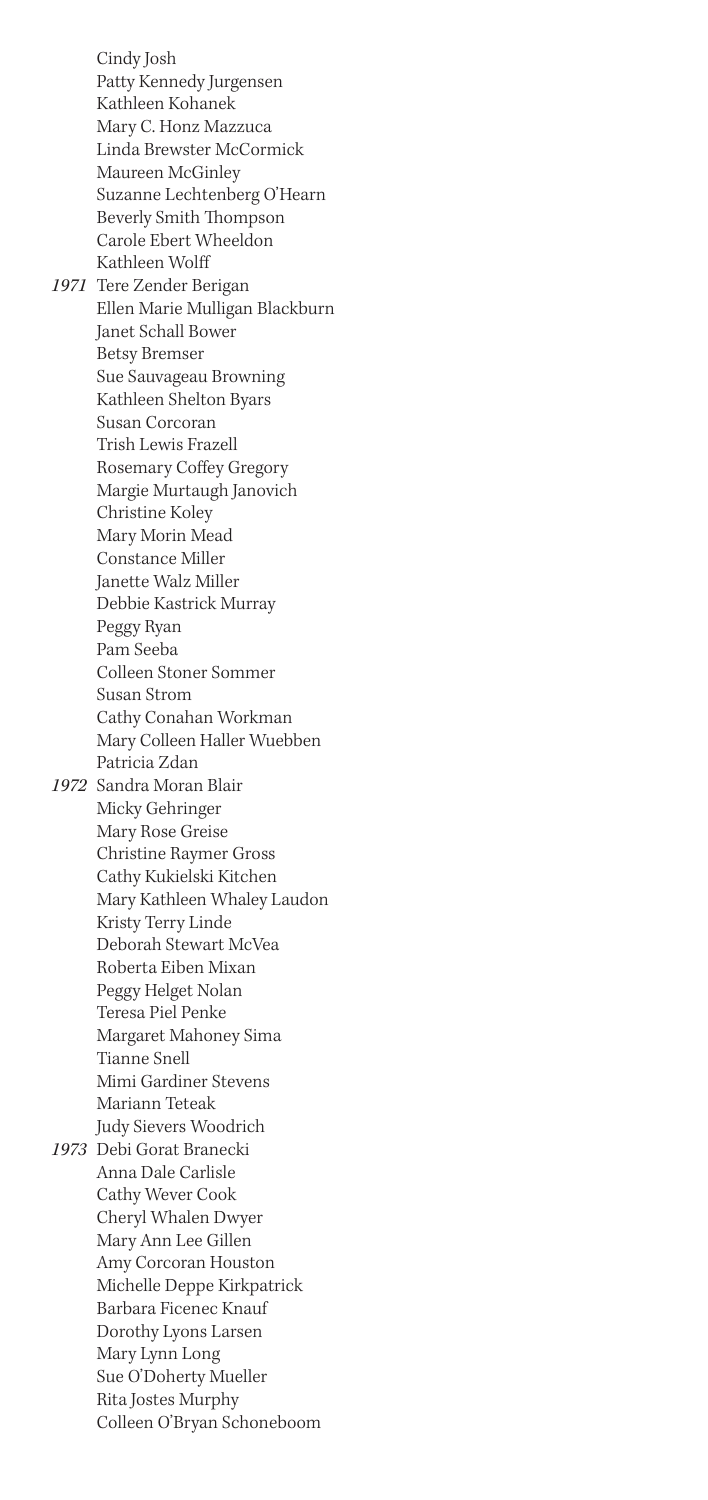Cindy Josh Patty Kennedy Jurgensen Kathleen Kohanek Mary C. Honz Mazzuca Linda Brewster McCormick Maureen McGinley Suzanne Lechtenberg O'Hearn Beverly Smith Thompson Carole Ebert Wheeldon Kathleen Wolff *1971* Tere Zender Berigan Ellen Marie Mulligan Blackburn Janet Schall Bower Betsy Bremser Sue Sauvageau Browning Kathleen Shelton Byars Susan Corcoran Trish Lewis Frazell Rosemary Coffey Gregory Margie Murtaugh Janovich Christine Koley Mary Morin Mead Constance Miller Janette Walz Miller Debbie Kastrick Murray Peggy Ryan Pam Seeba Colleen Stoner Sommer Susan Strom Cathy Conahan Workman Mary Colleen Haller Wuebben Patricia Zdan *1972* Sandra Moran Blair Micky Gehringer Mary Rose Greise Christine Raymer Gross Cathy Kukielski Kitchen Mary Kathleen Whaley Laudon Kristy Terry Linde Deborah Stewart McVea Roberta Eiben Mixan Peggy Helget Nolan Teresa Piel Penke Margaret Mahoney Sima Tianne Snell Mimi Gardiner Stevens Mariann Teteak Judy Sievers Woodrich *1973* Debi Gorat Branecki Anna Dale Carlisle Cathy Wever Cook Cheryl Whalen Dwyer Mary Ann Lee Gillen Amy Corcoran Houston Michelle Deppe Kirkpatrick Barbara Ficenec Knauf Dorothy Lyons Larsen Mary Lynn Long Sue O'Doherty Mueller Rita Jostes Murphy

Colleen O'Bryan Schoneboom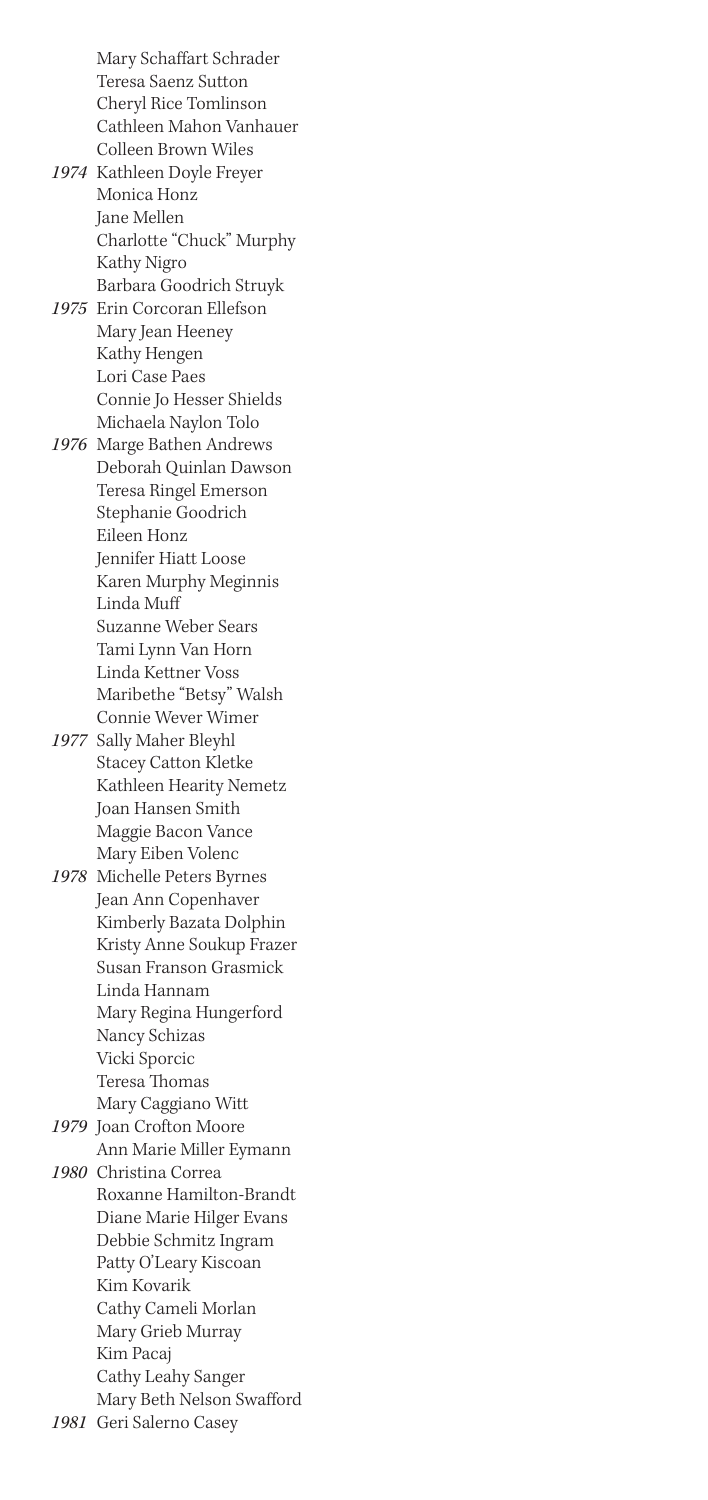Mary Schaffart Schrader Teresa Saenz Sutton Cheryl Rice Tomlinson Cathleen Mahon Vanhauer Colleen Brown Wiles

- *1974* Kathleen Doyle Freyer Monica Honz Jane Mellen Charlotte "Chuck" Murphy Kathy Nigro Barbara Goodrich Struyk
- *1975* Erin Corcoran Ellefson Mary Jean Heeney Kathy Hengen Lori Case Paes Connie Jo Hesser Shields Michaela Naylon Tolo

*1976* Marge Bathen Andrews Deborah Quinlan Dawson Teresa Ringel Emerson Stephanie Goodrich Eileen Honz Jennifer Hiatt Loose Karen Murphy Meginnis Linda Muff Suzanne Weber Sears Tami Lynn Van Horn Linda Kettner Voss Maribethe "Betsy" Walsh

- Connie Wever Wimer *1977* Sally Maher Bleyhl Stacey Catton Kletke Kathleen Hearity Nemetz Joan Hansen Smith Maggie Bacon Vance Mary Eiben Volenc
- *1978* Michelle Peters Byrnes Jean Ann Copenhaver Kimberly Bazata Dolphin Kristy Anne Soukup Frazer Susan Franson Grasmick Linda Hannam Mary Regina Hungerford Nancy Schizas Vicki Sporcic Teresa Thomas Mary Caggiano Witt
- *1979* Joan Crofton Moore Ann Marie Miller Eymann

*1980* Christina Correa Roxanne Hamilton-Brandt Diane Marie Hilger Evans Debbie Schmitz Ingram Patty O'Leary Kiscoan Kim Kovarik Cathy Cameli Morlan Mary Grieb Murray Kim Pacaj Cathy Leahy Sanger Mary Beth Nelson Swafford

*1981* Geri Salerno Casey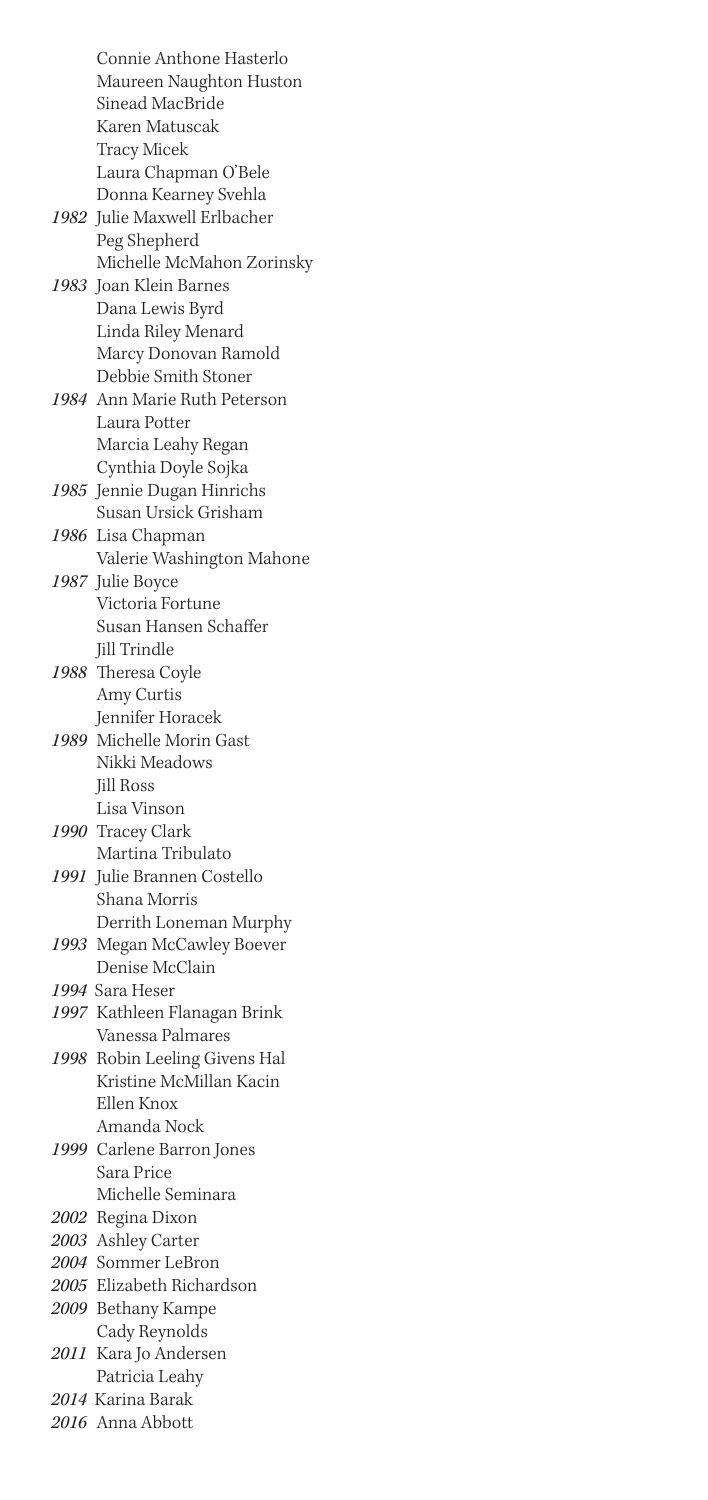Connie Anthone Hasterlo Maureen Naughton Huston Sinead MacBride Karen Matuscak Tracy Micek Laura Chapman O'Bele Donna Kearney Svehla *1982* Julie Maxwell Erlbacher Peg Shepherd Michelle McMahon Zorinsky *1983* Joan Klein Barnes Dana Lewis Byrd Linda Riley Menard Marcy Donovan Ramold Debbie Smith Stoner *1984* Ann Marie Ruth Peterson Laura Potter Marcia Leahy Regan Cynthia Doyle Sojka *1985* Jennie Dugan Hinrichs Susan Ursick Grisham *1986* Lisa Chapman Valerie Washington Mahone *1987* Julie Boyce Victoria Fortune Susan Hansen Schaffer Jill Trindle *1988* Theresa Coyle Amy Curtis Jennifer Horacek *1989* Michelle Morin Gast Nikki Meadows Jill Ross Lisa Vinson *1990* Tracey Clark Martina Tribulato *1991* Julie Brannen Costello Shana Morris Derrith Loneman Murphy *1993* Megan McCawley Boever Denise McClain *1994* Sara Heser *1997* Kathleen Flanagan Brink Vanessa Palmares *1998* Robin Leeling Givens Hal Kristine McMillan Kacin Ellen Knox Amanda Nock *1999* Carlene Barron Jones Sara Price Michelle Seminara *2002* Regina Dixon *2003* Ashley Carter *2004* Sommer LeBron *2005* Elizabeth Richardson *2009* Bethany Kampe Cady Reynolds *2011* Kara Jo Andersen Patricia Leahy *2014* Karina Barak *2016* Anna Abbott